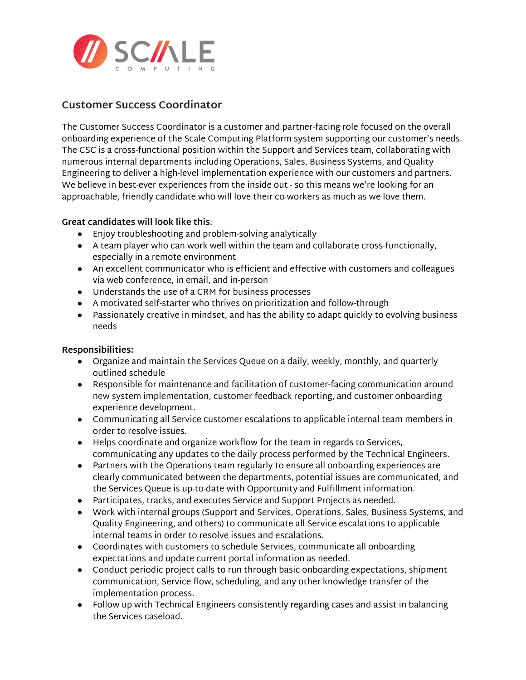

# **Customer Success Coordinator**

The Customer Success Coordinator is a customer and partner-facing role focused on the overall onboarding experience of the Scale Computing Platform system supporting our customer's needs. The CSC is a cross-functional position within the Support and Services team, collaborating with numerous internal departments including Operations, Sales, Business Systems, and Quality Engineering to deliver a high-level implementation experience with our customers and partners. We believe in best-ever experiences from the inside out - so this means we're looking for an approachable, friendly candidate who will love their co-workers as much as we love them.

## **Great candidates will look like this**:

- Enjoy troubleshooting and problem-solving analytically
- A team player who can work well within the team and collaborate cross-functionally, especially in a remote environment
- An excellent communicator who is efficient and effective with customers and colleagues via web conference, in email, and in-person
- Understands the use of a CRM for business processes
- A motivated self-starter who thrives on prioritization and follow-through
- Passionately creative in mindset, and has the ability to adapt quickly to evolving business needs

## **Responsibilities:**

- Organize and maintain the Services Queue on a daily, weekly, monthly, and quarterly outlined schedule
- Responsible for maintenance and facilitation of customer-facing communication around new system implementation, customer feedback reporting, and customer onboarding experience development.
- Communicating all Service customer escalations to applicable internal team members in order to resolve issues.
- Helps coordinate and organize workflow for the team in regards to Services, communicating any updates to the daily process performed by the Technical Engineers.
- Partners with the Operations team regularly to ensure all onboarding experiences are clearly communicated between the departments, potential issues are communicated, and the Services Queue is up-to-date with Opportunity and Fulfillment information.
- Participates, tracks, and executes Service and Support Projects as needed.
- Work with internal groups (Support and Services, Operations, Sales, Business Systems, and Quality Engineering, and others) to communicate all Service escalations to applicable internal teams in order to resolve issues and escalations.
- Coordinates with customers to schedule Services, communicate all onboarding expectations and update current portal information as needed.
- Conduct periodic project calls to run through basic onboarding expectations, shipment communication, Service flow, scheduling, and any other knowledge transfer of the implementation process.
- Follow up with Technical Engineers consistently regarding cases and assist in balancing the Services caseload.